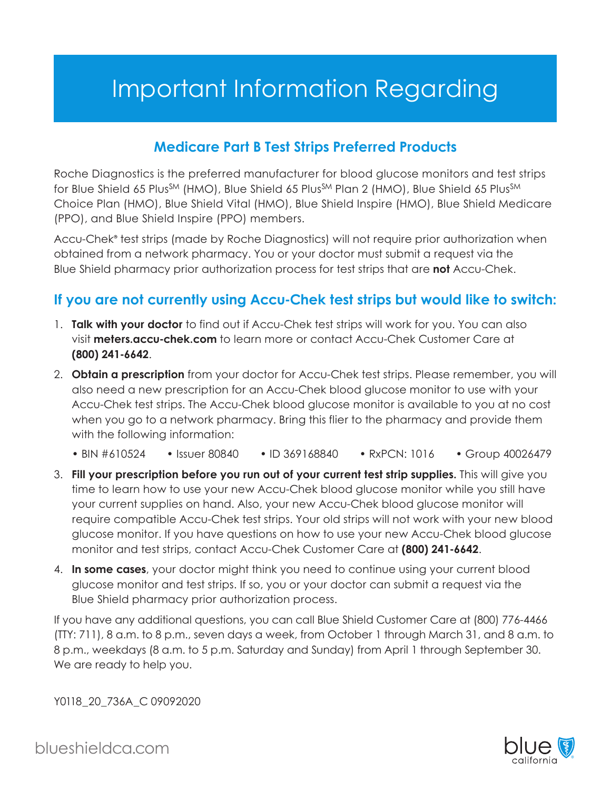## Important Information Regarding

## **Medicare Part B Test Strips Preferred Products**

for Blue Shield 65 Plus<sup>sm</sup> (HMO), Blue Shield 65 Plus<sup>sm</sup> Plan 2 (HMO), Blue Shield 65 Plus<sup>sm</sup> Roche Diagnostics is the preferred manufacturer for blood glucose monitors and test strips Choice Plan (HMO), Blue Shield Vital (HMO), Blue Shield Inspire (HMO), Blue Shield Medicare (PPO), and Blue Shield Inspire (PPO) members.

Accu-Chek<sup>®</sup> test strips (made by Roche Diagnostics) will not require prior authorization when obtained from a network pharmacy. You or your doctor must submit a request via the Blue Shield pharmacy prior authorization process for test strips that are **not** Accu-Chek.

## **If you are not currently using Accu-Chek test strips but would like to switch:**

- 1. **Talk with your doctor** to find out if Accu-Chek test strips will work for you. You can also visit **[meters.accu-chek.com](https://meters.accu-chek.com)** to learn more or contact Accu-Chek Customer Care at **(800) 241-6642**.
- 2. **Obtain a prescription** from your doctor for Accu-Chek test strips. Please remember, you will also need a new prescription for an Accu-Chek blood glucose monitor to use with your Accu-Chek test strips. The Accu-Chek blood glucose monitor is available to you at no cost when you go to a network pharmacy. Bring this flier to the pharmacy and provide them with the following information:
	- $\cdot$  BIN #610524 • Issuer 80840 • ID 369168840 • RxPCN: 1016 • Group 40026479
- 3. **Fill your prescription before you run out of your current test strip supplies.** This will give you time to learn how to use your new Accu-Chek blood glucose monitor while you still have your current supplies on hand. Also, your new Accu-Chek blood glucose monitor will require compatible Accu-Chek test strips. Your old strips will not work with your new blood glucose monitor. If you have questions on how to use your new Accu-Chek blood glucose monitor and test strips, contact Accu-Chek Customer Care at **(800) 241-6642**.
- 4. **In some cases**, your doctor might think you need to continue using your current blood glucose monitor and test strips. If so, you or your doctor can submit a request via the Blue Shield pharmacy prior authorization process.

If you have any additional questions, you can call Blue Shield Customer Care at (800) 776-4466 (TTY: 711), 8 a.m. to 8 p.m., seven days a week, from October 1 through March 31, and 8 a.m. to 8 p.m., weekdays (8 a.m. to 5 p.m. Saturday and Sunday) from April 1 through September 30. We are ready to help you.

Y0118\_20\_736A\_C 09092020

[blueshieldca.com](https://blueshieldca.com)